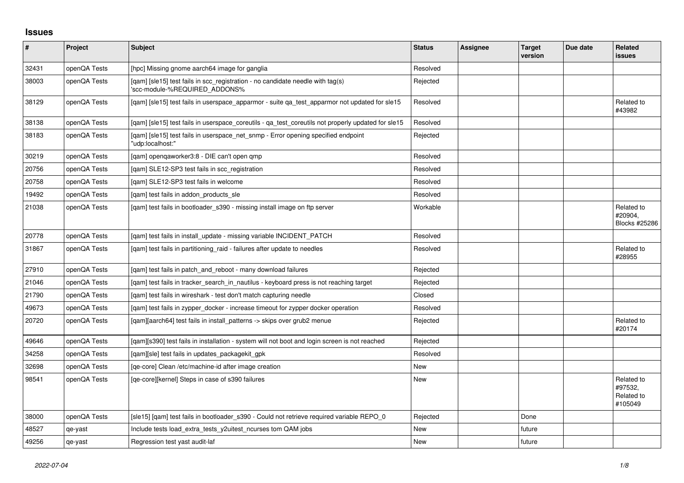## **Issues**

| #     | Project      | <b>Subject</b>                                                                                                  | <b>Status</b> | <b>Assignee</b> | <b>Target</b><br>version | Due date | Related<br>issues                              |
|-------|--------------|-----------------------------------------------------------------------------------------------------------------|---------------|-----------------|--------------------------|----------|------------------------------------------------|
| 32431 | openQA Tests | [hpc] Missing gnome aarch64 image for ganglia                                                                   | Resolved      |                 |                          |          |                                                |
| 38003 | openQA Tests | [qam] [sle15] test fails in scc_registration - no candidate needle with tag(s)<br>'scc-module-%REQUIRED_ADDONS% | Rejected      |                 |                          |          |                                                |
| 38129 | openQA Tests | [gam] [sle15] test fails in userspace apparmor - suite ga test apparmor not updated for sle15                   | Resolved      |                 |                          |          | Related to<br>#43982                           |
| 38138 | openQA Tests | [gam] [sle15] test fails in userspace coreutils - ga test coreutils not properly updated for sle15              | Resolved      |                 |                          |          |                                                |
| 38183 | openQA Tests | [qam] [sle15] test fails in userspace_net_snmp - Error opening specified endpoint<br>'udp:localhost:"           | Rejected      |                 |                          |          |                                                |
| 30219 | openQA Tests | [qam] openqaworker3:8 - DIE can't open qmp                                                                      | Resolved      |                 |                          |          |                                                |
| 20756 | openQA Tests | [qam] SLE12-SP3 test fails in scc_registration                                                                  | Resolved      |                 |                          |          |                                                |
| 20758 | openQA Tests | [gam] SLE12-SP3 test fails in welcome                                                                           | Resolved      |                 |                          |          |                                                |
| 19492 | openQA Tests | [gam] test fails in addon products sle                                                                          | Resolved      |                 |                          |          |                                                |
| 21038 | openQA Tests | [qam] test fails in bootloader_s390 - missing install image on ftp server                                       | Workable      |                 |                          |          | Related to<br>#20904,<br>Blocks #25286         |
| 20778 | openQA Tests | [gam] test fails in install update - missing variable INCIDENT PATCH                                            | Resolved      |                 |                          |          |                                                |
| 31867 | openQA Tests | [qam] test fails in partitioning_raid - failures after update to needles                                        | Resolved      |                 |                          |          | Related to<br>#28955                           |
| 27910 | openQA Tests | [gam] test fails in patch and reboot - many download failures                                                   | Rejected      |                 |                          |          |                                                |
| 21046 | openQA Tests | [gam] test fails in tracker search in nautilus - keyboard press is not reaching target                          | Rejected      |                 |                          |          |                                                |
| 21790 | openQA Tests | [gam] test fails in wireshark - test don't match capturing needle                                               | Closed        |                 |                          |          |                                                |
| 49673 | openQA Tests | [gam] test fails in zypper docker - increase timeout for zypper docker operation                                | Resolved      |                 |                          |          |                                                |
| 20720 | openQA Tests | [qam][aarch64] test fails in install_patterns -> skips over grub2 menue                                         | Rejected      |                 |                          |          | Related to<br>#20174                           |
| 49646 | openQA Tests | [qam][s390] test fails in installation - system will not boot and login screen is not reached                   | Rejected      |                 |                          |          |                                                |
| 34258 | openQA Tests | [qam][sle] test fails in updates_packagekit_gpk                                                                 | Resolved      |                 |                          |          |                                                |
| 32698 | openQA Tests | [ge-core] Clean /etc/machine-id after image creation                                                            | <b>New</b>    |                 |                          |          |                                                |
| 98541 | openQA Tests | [ge-core][kernel] Steps in case of s390 failures                                                                | <b>New</b>    |                 |                          |          | Related to<br>#97532,<br>Related to<br>#105049 |
| 38000 | openQA Tests | [sle15] [gam] test fails in bootloader s390 - Could not retrieve required variable REPO 0                       | Rejected      |                 | Done                     |          |                                                |
| 48527 | qe-yast      | Include tests load_extra_tests_y2uitest_ncurses tom QAM jobs                                                    | <b>New</b>    |                 | future                   |          |                                                |
| 49256 | qe-yast      | Regression test yast audit-laf                                                                                  | New           |                 | future                   |          |                                                |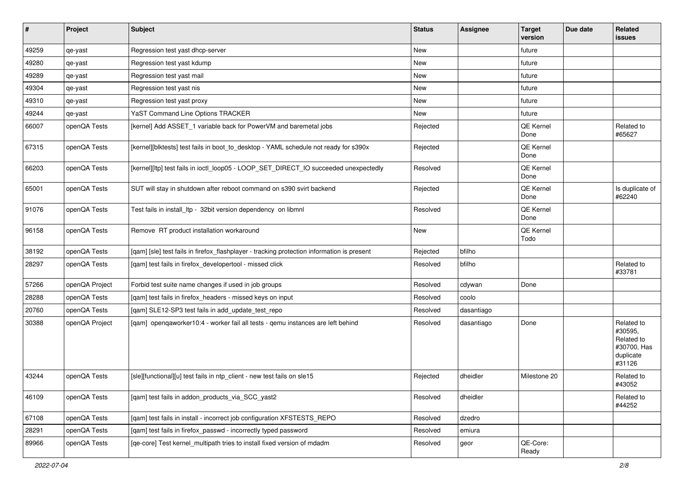| $\vert$ # | Project        | <b>Subject</b>                                                                             | <b>Status</b> | <b>Assignee</b> | <b>Target</b><br>version | Due date | Related<br>issues                                                         |
|-----------|----------------|--------------------------------------------------------------------------------------------|---------------|-----------------|--------------------------|----------|---------------------------------------------------------------------------|
| 49259     | qe-yast        | Regression test yast dhcp-server                                                           | New           |                 | future                   |          |                                                                           |
| 49280     | qe-yast        | Regression test yast kdump                                                                 | <b>New</b>    |                 | future                   |          |                                                                           |
| 49289     | qe-yast        | Regression test yast mail                                                                  | New           |                 | future                   |          |                                                                           |
| 49304     | qe-yast        | Regression test yast nis                                                                   | New           |                 | future                   |          |                                                                           |
| 49310     | qe-yast        | Regression test yast proxy                                                                 | New           |                 | future                   |          |                                                                           |
| 49244     | qe-yast        | YaST Command Line Options TRACKER                                                          | New           |                 | future                   |          |                                                                           |
| 66007     | openQA Tests   | [kernel] Add ASSET_1 variable back for PowerVM and baremetal jobs                          | Rejected      |                 | <b>QE Kernel</b><br>Done |          | Related to<br>#65627                                                      |
| 67315     | openQA Tests   | [kernel][blktests] test fails in boot_to_desktop - YAML schedule not ready for s390x       | Rejected      |                 | QE Kernel<br>Done        |          |                                                                           |
| 66203     | openQA Tests   | [kernel][ltp] test fails in ioctl_loop05 - LOOP_SET_DIRECT_IO succeeded unexpectedly       | Resolved      |                 | <b>QE Kernel</b><br>Done |          |                                                                           |
| 65001     | openQA Tests   | SUT will stay in shutdown after reboot command on s390 svirt backend                       | Rejected      |                 | <b>QE Kernel</b><br>Done |          | Is duplicate of<br>#62240                                                 |
| 91076     | openQA Tests   | Test fails in install_ltp - 32bit version dependency on libmnl                             | Resolved      |                 | QE Kernel<br>Done        |          |                                                                           |
| 96158     | openQA Tests   | Remove RT product installation workaround                                                  | New           |                 | <b>QE Kernel</b><br>Todo |          |                                                                           |
| 38192     | openQA Tests   | [qam] [sle] test fails in firefox_flashplayer - tracking protection information is present | Rejected      | bfilho          |                          |          |                                                                           |
| 28297     | openQA Tests   | [qam] test fails in firefox_developertool - missed click                                   | Resolved      | bfilho          |                          |          | Related to<br>#33781                                                      |
| 57266     | openQA Project | Forbid test suite name changes if used in job groups                                       | Resolved      | cdywan          | Done                     |          |                                                                           |
| 28288     | openQA Tests   | [qam] test fails in firefox_headers - missed keys on input                                 | Resolved      | coolo           |                          |          |                                                                           |
| 20760     | openQA Tests   | [qam] SLE12-SP3 test fails in add_update_test_repo                                         | Resolved      | dasantiago      |                          |          |                                                                           |
| 30388     | openQA Project | [qam] openqaworker10:4 - worker fail all tests - qemu instances are left behind            | Resolved      | dasantiago      | Done                     |          | Related to<br>#30595.<br>Related to<br>#30700, Has<br>duplicate<br>#31126 |
| 43244     | openQA Tests   | [sle][functional][u] test fails in ntp_client - new test fails on sle15                    | Rejected      | dheidler        | Milestone 20             |          | Related to<br>#43052                                                      |
| 46109     | openQA Tests   | [gam] test fails in addon products via SCC yast2                                           | Resolved      | dheidler        |                          |          | Related to<br>#44252                                                      |
| 67108     | openQA Tests   | [gam] test fails in install - incorrect job configuration XFSTESTS REPO                    | Resolved      | dzedro          |                          |          |                                                                           |
| 28291     | openQA Tests   | [qam] test fails in firefox_passwd - incorrectly typed password                            | Resolved      | emiura          |                          |          |                                                                           |
| 89966     | openQA Tests   | [qe-core] Test kernel_multipath tries to install fixed version of mdadm                    | Resolved      | geor            | QE-Core:<br>Ready        |          |                                                                           |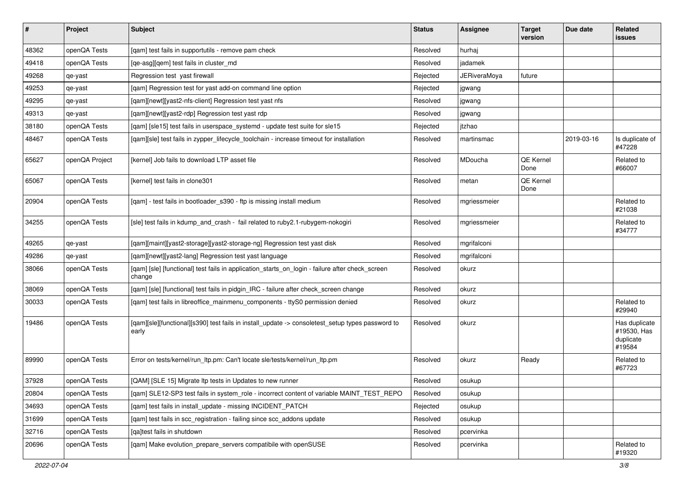| $\vert$ # | Project        | <b>Subject</b>                                                                                            | <b>Status</b> | <b>Assignee</b>     | <b>Target</b><br>version | Due date   | Related<br>issues                                   |
|-----------|----------------|-----------------------------------------------------------------------------------------------------------|---------------|---------------------|--------------------------|------------|-----------------------------------------------------|
| 48362     | openQA Tests   | [qam] test fails in supportutils - remove pam check                                                       | Resolved      | hurhai              |                          |            |                                                     |
| 49418     | openQA Tests   | [qe-asg][qem] test fails in cluster md                                                                    | Resolved      | jadamek             |                          |            |                                                     |
| 49268     | qe-yast        | Regression test yast firewall                                                                             | Rejected      | <b>JERiveraMoya</b> | future                   |            |                                                     |
| 49253     | qe-yast        | [qam] Regression test for yast add-on command line option                                                 | Rejected      | jgwang              |                          |            |                                                     |
| 49295     | qe-yast        | [gam][newt][yast2-nfs-client] Regression test yast nfs                                                    | Resolved      | jgwang              |                          |            |                                                     |
| 49313     | qe-yast        | [qam][newt][yast2-rdp] Regression test yast rdp                                                           | Resolved      | jgwang              |                          |            |                                                     |
| 38180     | openQA Tests   | [qam] [sle15] test fails in userspace_systemd - update test suite for sle15                               | Rejected      | itzhao              |                          |            |                                                     |
| 48467     | openQA Tests   | [qam][sle] test fails in zypper_lifecycle_toolchain - increase timeout for installation                   | Resolved      | martinsmac          |                          | 2019-03-16 | Is duplicate of<br>#47228                           |
| 65627     | openQA Project | [kernel] Job fails to download LTP asset file                                                             | Resolved      | MDoucha             | QE Kernel<br>Done        |            | Related to<br>#66007                                |
| 65067     | openQA Tests   | [kernel] test fails in clone301                                                                           | Resolved      | metan               | <b>QE Kernel</b><br>Done |            |                                                     |
| 20904     | openQA Tests   | [qam] - test fails in bootloader_s390 - ftp is missing install medium                                     | Resolved      | mgriessmeier        |                          |            | Related to<br>#21038                                |
| 34255     | openQA Tests   | [sle] test fails in kdump_and_crash - fail related to ruby2.1-rubygem-nokogiri                            | Resolved      | mgriessmeier        |                          |            | Related to<br>#34777                                |
| 49265     | qe-yast        | [qam][maint][yast2-storage][yast2-storage-ng] Regression test yast disk                                   | Resolved      | mgrifalconi         |                          |            |                                                     |
| 49286     | qe-yast        | [qam][newt][yast2-lang] Regression test yast language                                                     | Resolved      | mgrifalconi         |                          |            |                                                     |
| 38066     | openQA Tests   | [qam] [sle] [functional] test fails in application_starts_on_login - failure after check_screen<br>change | Resolved      | okurz               |                          |            |                                                     |
| 38069     | openQA Tests   | [qam] [sle] [functional] test fails in pidgin_IRC - failure after check_screen change                     | Resolved      | okurz               |                          |            |                                                     |
| 30033     | openQA Tests   | [qam] test fails in libreoffice_mainmenu_components - ttyS0 permission denied                             | Resolved      | okurz               |                          |            | Related to<br>#29940                                |
| 19486     | openQA Tests   | [qam][sle][functional][s390] test fails in install_update -> consoletest_setup types password to<br>early | Resolved      | okurz               |                          |            | Has duplicate<br>#19530, Has<br>duplicate<br>#19584 |
| 89990     | openQA Tests   | Error on tests/kernel/run_ltp.pm: Can't locate sle/tests/kernel/run_ltp.pm                                | Resolved      | okurz               | Ready                    |            | Related to<br>#67723                                |
| 37928     | openQA Tests   | [QAM] [SLE 15] Migrate Itp tests in Updates to new runner                                                 | Resolved      | osukup              |                          |            |                                                     |
| 20804     | openQA Tests   | [gam] SLE12-SP3 test fails in system_role - incorrect content of variable MAINT_TEST_REPO                 | Resolved      | osukup              |                          |            |                                                     |
| 34693     | openQA Tests   | [qam] test fails in install_update - missing INCIDENT_PATCH                                               | Rejected      | osukup              |                          |            |                                                     |
| 31699     | openQA Tests   | [qam] test fails in scc_registration - failing since scc_addons update                                    | Resolved      | osukup              |                          |            |                                                     |
| 32716     | openQA Tests   | [qa]test fails in shutdown                                                                                | Resolved      | pcervinka           |                          |            |                                                     |
| 20696     | openQA Tests   | [qam] Make evolution_prepare_servers compatibile with openSUSE                                            | Resolved      | pcervinka           |                          |            | Related to<br>#19320                                |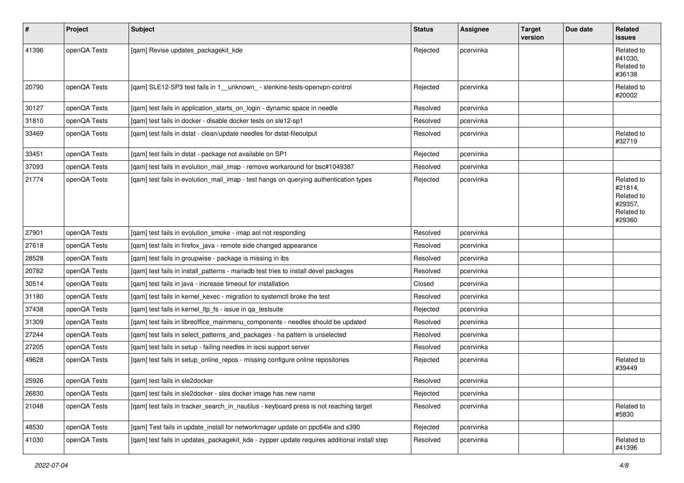| $\vert$ # | Project      | <b>Subject</b>                                                                              | <b>Status</b> | <b>Assignee</b> | <b>Target</b><br>version | Due date | Related<br>issues                                                      |
|-----------|--------------|---------------------------------------------------------------------------------------------|---------------|-----------------|--------------------------|----------|------------------------------------------------------------------------|
| 41396     | openQA Tests | [qam] Revise updates_packagekit_kde                                                         | Rejected      | pcervinka       |                          |          | Related to<br>#41030,<br>Related to<br>#36138                          |
| 20790     | openQA Tests | [qam] SLE12-SP3 test fails in 1__unknown_ - slenkins-tests-openvpn-control                  | Rejected      | pcervinka       |                          |          | Related to<br>#20002                                                   |
| 30127     | openQA Tests | [qam] test fails in application_starts_on_login - dynamic space in needle                   | Resolved      | pcervinka       |                          |          |                                                                        |
| 31810     | openQA Tests | [qam] test fails in docker - disable docker tests on sle12-sp1                              | Resolved      | pcervinka       |                          |          |                                                                        |
| 33469     | openQA Tests | [qam] test fails in dstat - clean/update needles for dstat-fileoutput                       | Resolved      | pcervinka       |                          |          | Related to<br>#32719                                                   |
| 33451     | openQA Tests | [qam] test fails in dstat - package not available on SP1                                    | Rejected      | pcervinka       |                          |          |                                                                        |
| 37093     | openQA Tests | [qam] test fails in evolution_mail_imap - remove workaround for bsc#1049387                 | Resolved      | pcervinka       |                          |          |                                                                        |
| 21774     | openQA Tests | [qam] test fails in evolution_mail_imap - test hangs on querying authentication types       | Rejected      | pcervinka       |                          |          | Related to<br>#21814,<br>Related to<br>#29357,<br>Related to<br>#29360 |
| 27901     | openQA Tests | [gam] test fails in evolution smoke - imap aol not responding                               | Resolved      | pcervinka       |                          |          |                                                                        |
| 27618     | openQA Tests | [qam] test fails in firefox_java - remote side changed appearance                           | Resolved      | pcervinka       |                          |          |                                                                        |
| 28528     | openQA Tests | [gam] test fails in groupwise - package is missing in ibs                                   | Resolved      | pcervinka       |                          |          |                                                                        |
| 20782     | openQA Tests | [qam] test fails in install_patterns - mariadb test tries to install devel packages         | Resolved      | pcervinka       |                          |          |                                                                        |
| 30514     | openQA Tests | [qam] test fails in java - increase timeout for installation                                | Closed        | pcervinka       |                          |          |                                                                        |
| 31180     | openQA Tests | [qam] test fails in kernel_kexec - migration to systemctl broke the test                    | Resolved      | pcervinka       |                          |          |                                                                        |
| 37438     | openQA Tests | [qam] test fails in kernel_ltp_fs - issue in qa_testsuite                                   | Rejected      | pcervinka       |                          |          |                                                                        |
| 31309     | openQA Tests | [qam] test fails in libreoffice_mainmenu_components - needles should be updated             | Resolved      | pcervinka       |                          |          |                                                                        |
| 27244     | openQA Tests | [qam] test fails in select_patterns_and_packages - ha pattern is unselected                 | Resolved      | pcervinka       |                          |          |                                                                        |
| 27205     | openQA Tests | [qam] test fails in setup - failing needles in iscsi support server                         | Resolved      | pcervinka       |                          |          |                                                                        |
| 49628     | openQA Tests | [qam] test fails in setup_online_repos - missing configure online repositories              | Rejected      | pcervinka       |                          |          | Related to<br>#39449                                                   |
| 25926     | openQA Tests | [gam] test fails in sle2docker                                                              | Resolved      | pcervinka       |                          |          |                                                                        |
| 26830     | openQA Tests | [qam] test fails in sle2docker - sles docker image has new name                             | Rejected      | pcervinka       |                          |          |                                                                        |
| 21048     | openQA Tests | [qam] test fails in tracker_search_in_nautilus - keyboard press is not reaching target      | Resolved      | pcervinka       |                          |          | Related to<br>#5830                                                    |
| 48530     | openQA Tests | [qam] Test fails in update_install for networkmager update on ppc64le and s390              | Rejected      | pcervinka       |                          |          |                                                                        |
| 41030     | openQA Tests | [qam] test fails in updates_packagekit_kde - zypper update requires additional install step | Resolved      | pcervinka       |                          |          | Related to<br>#41396                                                   |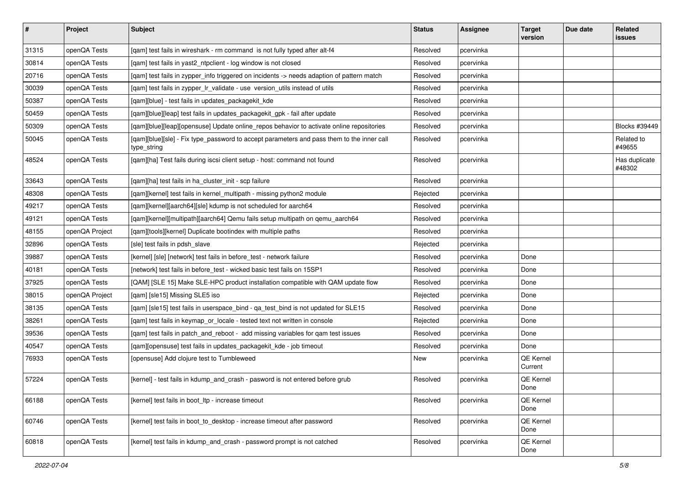| $\vert$ # | Project        | <b>Subject</b>                                                                                           | <b>Status</b> | <b>Assignee</b> | <b>Target</b><br>version | Due date | Related<br>issues       |
|-----------|----------------|----------------------------------------------------------------------------------------------------------|---------------|-----------------|--------------------------|----------|-------------------------|
| 31315     | openQA Tests   | [gam] test fails in wireshark - rm command is not fully typed after alt-f4                               | Resolved      | pcervinka       |                          |          |                         |
| 30814     | openQA Tests   | [gam] test fails in yast2 ntpclient - log window is not closed                                           | Resolved      | pcervinka       |                          |          |                         |
| 20716     | openQA Tests   | [qam] test fails in zypper_info triggered on incidents -> needs adaption of pattern match                | Resolved      | pcervinka       |                          |          |                         |
| 30039     | openQA Tests   | [qam] test fails in zypper_lr_validate - use version_utils instead of utils                              | Resolved      | pcervinka       |                          |          |                         |
| 50387     | openQA Tests   | [qam][blue] - test fails in updates_packagekit_kde                                                       | Resolved      | pcervinka       |                          |          |                         |
| 50459     | openQA Tests   | [qam][blue][leap] test fails in updates_packagekit_gpk - fail after update                               | Resolved      | pcervinka       |                          |          |                         |
| 50309     | openQA Tests   | [qam][blue][leap][opensuse] Update online_repos behavior to activate online repositories                 | Resolved      | pcervinka       |                          |          | Blocks #39449           |
| 50045     | openQA Tests   | [qam][blue][sle] - Fix type_password to accept parameters and pass them to the inner call<br>type_string | Resolved      | pcervinka       |                          |          | Related to<br>#49655    |
| 48524     | openQA Tests   | [qam][ha] Test fails during iscsi client setup - host: command not found                                 | Resolved      | pcervinka       |                          |          | Has duplicate<br>#48302 |
| 33643     | openQA Tests   | [qam][ha] test fails in ha_cluster_init - scp failure                                                    | Resolved      | pcervinka       |                          |          |                         |
| 48308     | openQA Tests   | [qam][kernel] test fails in kernel_multipath - missing python2 module                                    | Rejected      | pcervinka       |                          |          |                         |
| 49217     | openQA Tests   | [qam][kernel][aarch64][sle] kdump is not scheduled for aarch64                                           | Resolved      | pcervinka       |                          |          |                         |
| 49121     | openQA Tests   | [qam][kernel][multipath][aarch64] Qemu fails setup multipath on qemu_aarch64                             | Resolved      | pcervinka       |                          |          |                         |
| 48155     | openQA Project | [qam][tools][kernel] Duplicate bootindex with multiple paths                                             | Resolved      | pcervinka       |                          |          |                         |
| 32896     | openQA Tests   | [sle] test fails in pdsh_slave                                                                           | Rejected      | pcervinka       |                          |          |                         |
| 39887     | openQA Tests   | [kernel] [sle] [network] test fails in before test - network failure                                     | Resolved      | pcervinka       | Done                     |          |                         |
| 40181     | openQA Tests   | [network] test fails in before_test - wicked basic test fails on 15SP1                                   | Resolved      | pcervinka       | Done                     |          |                         |
| 37925     | openQA Tests   | [QAM] [SLE 15] Make SLE-HPC product installation compatible with QAM update flow                         | Resolved      | pcervinka       | Done                     |          |                         |
| 38015     | openQA Project | [qam] [sle15] Missing SLE5 iso                                                                           | Rejected      | pcervinka       | Done                     |          |                         |
| 38135     | openQA Tests   | [qam] [sle15] test fails in userspace_bind - qa_test_bind is not updated for SLE15                       | Resolved      | pcervinka       | Done                     |          |                         |
| 38261     | openQA Tests   | [gam] test fails in keymap or locale - tested text not written in console                                | Rejected      | pcervinka       | Done                     |          |                         |
| 39536     | openQA Tests   | [qam] test fails in patch_and_reboot - add missing variables for qam test issues                         | Resolved      | pcervinka       | Done                     |          |                         |
| 40547     | openQA Tests   | [qam][opensuse] test fails in updates_packagekit_kde - job timeout                                       | Resolved      | pcervinka       | Done                     |          |                         |
| 76933     | openQA Tests   | [opensuse] Add clojure test to Tumbleweed                                                                | New           | pcervinka       | QE Kernel<br>Current     |          |                         |
| 57224     | openQA Tests   | [kernel] - test fails in kdump_and_crash - pasword is not entered before grub                            | Resolved      | pcervinka       | QE Kernel<br>Done        |          |                         |
| 66188     | openQA Tests   | [kernel] test fails in boot ltp - increase timeout                                                       | Resolved      | pcervinka       | QE Kernel<br>Done        |          |                         |
| 60746     | openQA Tests   | [kernel] test fails in boot to desktop - increase timeout after password                                 | Resolved      | pcervinka       | QE Kernel<br>Done        |          |                         |
| 60818     | openQA Tests   | [kernel] test fails in kdump and crash - password prompt is not catched                                  | Resolved      | pcervinka       | QE Kernel<br>Done        |          |                         |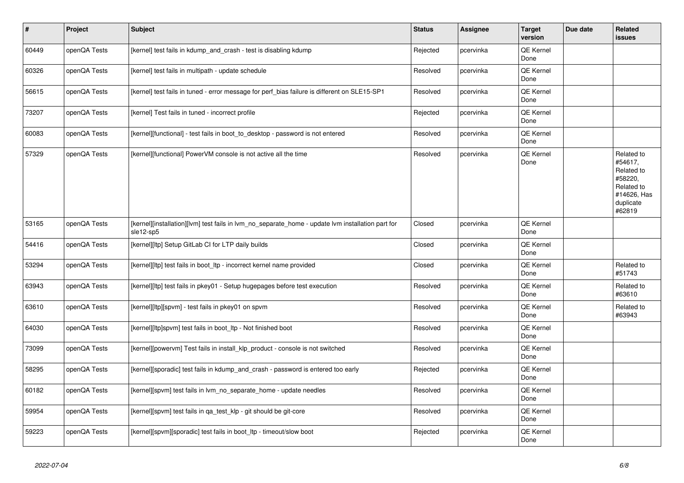| $\vert$ # | Project      | <b>Subject</b>                                                                                                 | <b>Status</b> | <b>Assignee</b> | <b>Target</b><br>version | Due date | Related<br><b>issues</b>                                                                           |
|-----------|--------------|----------------------------------------------------------------------------------------------------------------|---------------|-----------------|--------------------------|----------|----------------------------------------------------------------------------------------------------|
| 60449     | openQA Tests | [kernel] test fails in kdump_and_crash - test is disabling kdump                                               | Rejected      | pcervinka       | QE Kernel<br>Done        |          |                                                                                                    |
| 60326     | openQA Tests | [kernel] test fails in multipath - update schedule                                                             | Resolved      | pcervinka       | <b>QE Kernel</b><br>Done |          |                                                                                                    |
| 56615     | openQA Tests | [kernel] test fails in tuned - error message for perf_bias failure is different on SLE15-SP1                   | Resolved      | pcervinka       | QE Kernel<br>Done        |          |                                                                                                    |
| 73207     | openQA Tests | [kernel] Test fails in tuned - incorrect profile                                                               | Rejected      | pcervinka       | QE Kernel<br>Done        |          |                                                                                                    |
| 60083     | openQA Tests | [kernel][functional] - test fails in boot to desktop - password is not entered                                 | Resolved      | pcervinka       | QE Kernel<br>Done        |          |                                                                                                    |
| 57329     | openQA Tests | [kernel][functional] PowerVM console is not active all the time                                                | Resolved      | pcervinka       | QE Kernel<br>Done        |          | Related to<br>#54617.<br>Related to<br>#58220,<br>Related to<br>#14626, Has<br>duplicate<br>#62819 |
| 53165     | openQA Tests | [kernel][installation][lvm] test fails in lvm no separate home - update lvm installation part for<br>sle12-sp5 | Closed        | pcervinka       | QE Kernel<br>Done        |          |                                                                                                    |
| 54416     | openQA Tests | [kernel][ltp] Setup GitLab CI for LTP daily builds                                                             | Closed        | pcervinka       | QE Kernel<br>Done        |          |                                                                                                    |
| 53294     | openQA Tests | [kernel][ltp] test fails in boot ltp - incorrect kernel name provided                                          | Closed        | pcervinka       | QE Kernel<br>Done        |          | Related to<br>#51743                                                                               |
| 63943     | openQA Tests | [kernel][ltp] test fails in pkey01 - Setup hugepages before test execution                                     | Resolved      | pcervinka       | QE Kernel<br>Done        |          | Related to<br>#63610                                                                               |
| 63610     | openQA Tests | [kernel][ltp][spvm] - test fails in pkey01 on spvm                                                             | Resolved      | pcervinka       | QE Kernel<br>Done        |          | Related to<br>#63943                                                                               |
| 64030     | openQA Tests | [kernel][ltp]spvm] test fails in boot_ltp - Not finished boot                                                  | Resolved      | pcervinka       | <b>QE Kernel</b><br>Done |          |                                                                                                    |
| 73099     | openQA Tests | [kernel][powervm] Test fails in install_klp_product - console is not switched                                  | Resolved      | pcervinka       | QE Kernel<br>Done        |          |                                                                                                    |
| 58295     | openQA Tests | [kernel][sporadic] test fails in kdump_and_crash - password is entered too early                               | Rejected      | pcervinka       | QE Kernel<br>Done        |          |                                                                                                    |
| 60182     | openQA Tests | [kernel][spvm] test fails in lvm_no_separate_home - update needles                                             | Resolved      | pcervinka       | QE Kernel<br>Done        |          |                                                                                                    |
| 59954     | openQA Tests | [kernel][spvm] test fails in qa_test_klp - git should be git-core                                              | Resolved      | pcervinka       | QE Kernel<br>Done        |          |                                                                                                    |
| 59223     | openQA Tests | [kernel][spvm][sporadic] test fails in boot ltp - timeout/slow boot                                            | Rejected      | pcervinka       | QE Kernel<br>Done        |          |                                                                                                    |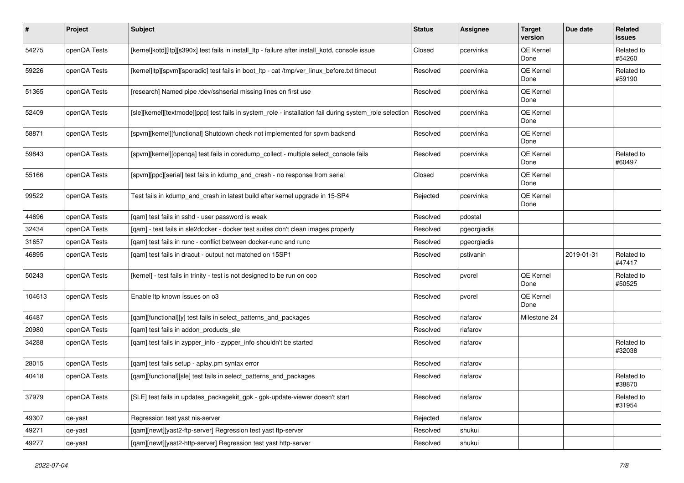| $\sharp$ | Project      | <b>Subject</b>                                                                                          | <b>Status</b> | Assignee    | <b>Target</b><br>version | Due date   | Related<br>issues    |
|----------|--------------|---------------------------------------------------------------------------------------------------------|---------------|-------------|--------------------------|------------|----------------------|
| 54275    | openQA Tests | [kernel]kotd][ltp][s390x] test fails in install_ltp - failure after install_kotd, console issue         | Closed        | pcervinka   | QE Kernel<br>Done        |            | Related to<br>#54260 |
| 59226    | openQA Tests | [kernel]ltp][spvm][sporadic] test fails in boot_ltp - cat /tmp/ver_linux_before.txt timeout             | Resolved      | pcervinka   | QE Kernel<br>Done        |            | Related to<br>#59190 |
| 51365    | openQA Tests | [research] Named pipe /dev/sshserial missing lines on first use                                         | Resolved      | pcervinka   | QE Kernel<br>Done        |            |                      |
| 52409    | openQA Tests | [sle][kernel][textmode][ppc] test fails in system_role - installation fail during system_role selection | Resolved      | pcervinka   | QE Kernel<br>Done        |            |                      |
| 58871    | openQA Tests | [spvm][kernel][functional] Shutdown check not implemented for spvm backend                              | Resolved      | pcervinka   | QE Kernel<br>Done        |            |                      |
| 59843    | openQA Tests | [spvm][kernel][openqa] test fails in coredump_collect - multiple select_console fails                   | Resolved      | pcervinka   | QE Kernel<br>Done        |            | Related to<br>#60497 |
| 55166    | openQA Tests | [spvm][ppc][serial] test fails in kdump_and_crash - no response from serial                             | Closed        | pcervinka   | QE Kernel<br>Done        |            |                      |
| 99522    | openQA Tests | Test fails in kdump_and_crash in latest build after kernel upgrade in 15-SP4                            | Rejected      | pcervinka   | QE Kernel<br>Done        |            |                      |
| 44696    | openQA Tests | [gam] test fails in sshd - user password is weak                                                        | Resolved      | pdostal     |                          |            |                      |
| 32434    | openQA Tests | [gam] - test fails in sle2docker - docker test suites don't clean images properly                       | Resolved      | pgeorgiadis |                          |            |                      |
| 31657    | openQA Tests | [qam] test fails in runc - conflict between docker-runc and runc                                        | Resolved      | pgeorgiadis |                          |            |                      |
| 46895    | openQA Tests | [gam] test fails in dracut - output not matched on 15SP1                                                | Resolved      | pstivanin   |                          | 2019-01-31 | Related to<br>#47417 |
| 50243    | openQA Tests | [kernel] - test fails in trinity - test is not designed to be run on ooo                                | Resolved      | pvorel      | QE Kernel<br>Done        |            | Related to<br>#50525 |
| 104613   | openQA Tests | Enable Itp known issues on o3                                                                           | Resolved      | pvorel      | QE Kernel<br>Done        |            |                      |
| 46487    | openQA Tests | [qam][functional][y] test fails in select_patterns_and_packages                                         | Resolved      | riafarov    | Milestone 24             |            |                      |
| 20980    | openQA Tests | [gam] test fails in addon products sle                                                                  | Resolved      | riafarov    |                          |            |                      |
| 34288    | openQA Tests | [qam] test fails in zypper_info - zypper_info shouldn't be started                                      | Resolved      | riafarov    |                          |            | Related to<br>#32038 |
| 28015    | openQA Tests | [qam] test fails setup - aplay.pm syntax error                                                          | Resolved      | riafarov    |                          |            |                      |
| 40418    | openQA Tests | [gam][functional][sle] test fails in select patterns and packages                                       | Resolved      | riafarov    |                          |            | Related to<br>#38870 |
| 37979    | openQA Tests | [SLE] test fails in updates_packagekit_gpk - gpk-update-viewer doesn't start                            | Resolved      | riafarov    |                          |            | Related to<br>#31954 |
| 49307    | qe-yast      | Regression test yast nis-server                                                                         | Rejected      | riafarov    |                          |            |                      |
| 49271    | qe-yast      | [qam][newt][yast2-ftp-server] Regression test yast ftp-server                                           | Resolved      | shukui      |                          |            |                      |
| 49277    | qe-yast      | [qam][newt][yast2-http-server] Regression test yast http-server                                         | Resolved      | shukui      |                          |            |                      |